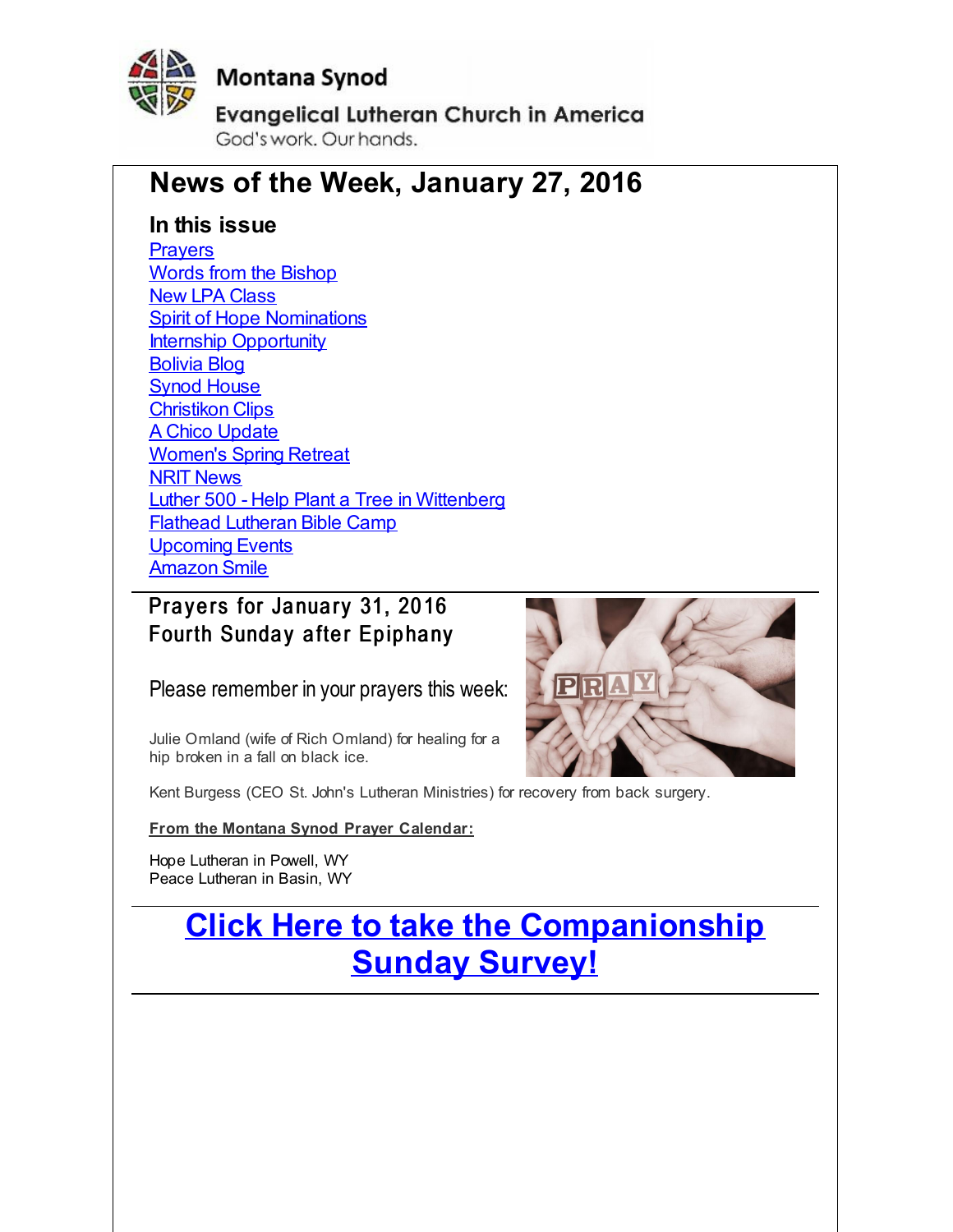<span id="page-0-0"></span>

# **Montana Synod**

**Evangelical Lutheran Church in America** God's work, Our hands,

# **News of the Week, January 27, 2016**

## **In this issue**

**[Prayers](#page-0-0)** Words from the [Bishop](#page-0-0) New LPA [Class](#page-0-0) **Spirit of Hope [Nominations](#page-0-0) Internship [Opportunity](#page-0-0)** [Bolivia](#page-0-0) Blog Synod [House](#page-0-0) [Christikon](#page-0-0) Clips A Chico [Update](#page-0-0) [Women's](#page-0-0) Spring Retreat NRIT [News](#page-0-0) Luther 500 - Help Plant a Tree in [Wittenberg](#page-0-0) Flathead [Lutheran](#page-0-0) Bible Camp [Upcoming](#page-0-0) Events [Amazon](#page-0-0) Smile

# Prayers for January 31, 2016 Fourth Sunday after Epiphany

Please remember in your prayers this week:

Julie Omland (wife of Rich Omland) for healing for a hip broken in a fall on black ice.



Kent Burgess (CEO St. John's Lutheran Ministries) for recovery from back surgery.

### **From the Montana Synod Prayer Calendar:**

Hope Lutheran in Powell, WY Peace Lutheran in Basin, WY

# **Click Here to take the [Companionship](http://r20.rs6.net/tn.jsp?f=001rhCKCJW7OCpPP8e91C3o5tAL3-CaZOY0f8ElavlmkbVyKAhvcnE2V2Qu90Jqvm-uQd8qsQ6mEjHGnhDTU8kwaGJ9AjDOoB3wwcsLu9FMnziFQVi2waZKldLEG_3s5CGlPw-fWzcRo4Mn0uyeuYDNWMJO11nMBmmYLVezQrRe4JVkZ7_rastZDIipOw88Hcuh&c=&ch=) Sunday Survey!**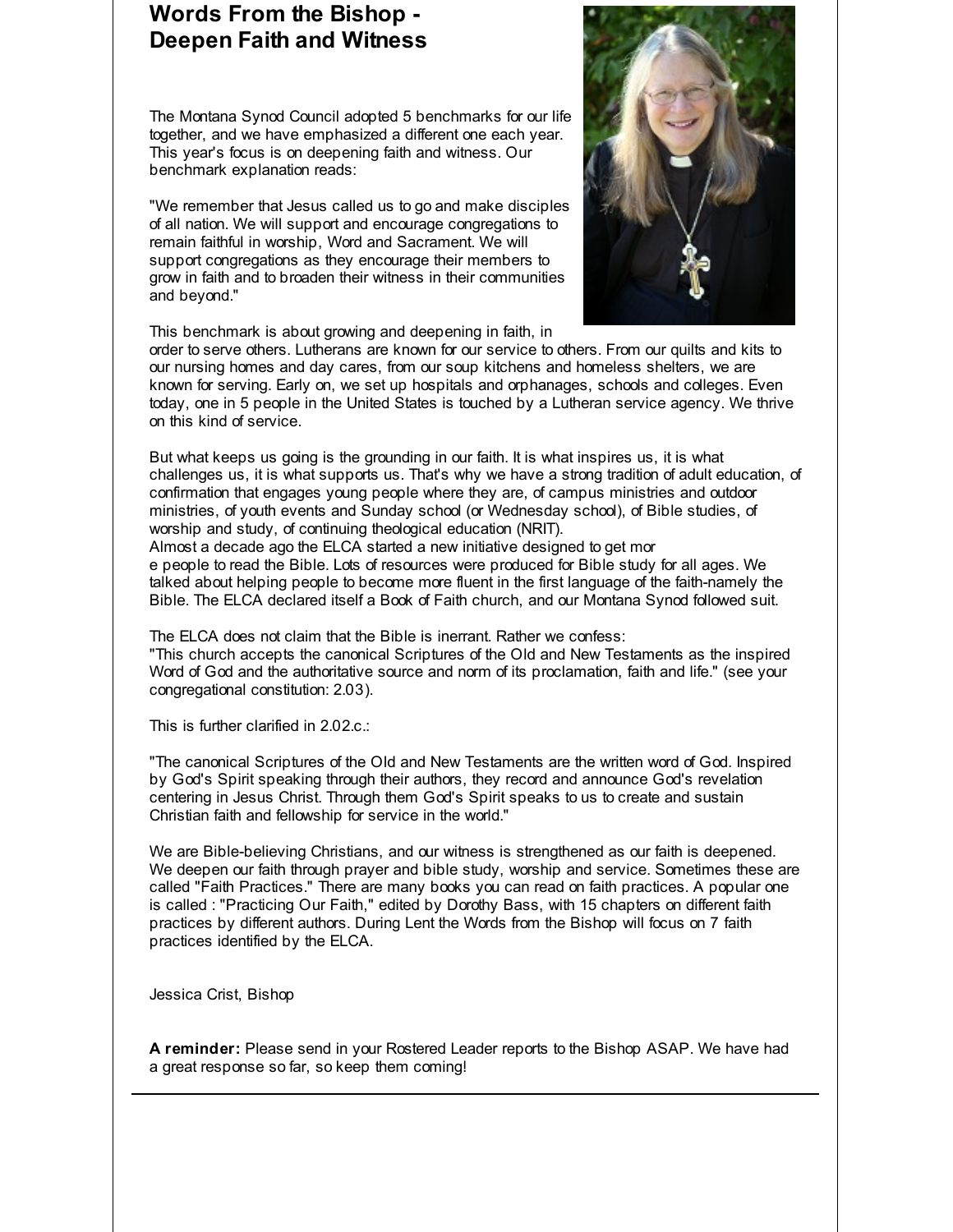# **Words From the Bishop - Deepen Faith and Witness**

The Montana Synod Council adopted 5 benchmarks for our life together, and we have emphasized a different one each year. This year's focus is on deepening faith and witness. Our benchmark explanation reads:

"We remember that Jesus called us to go and make disciples of all nation. We will support and encourage congregations to remain faithful in worship, Word and Sacrament. We will support congregations as they encourage their members to grow in faith and to broaden their witness in their communities and beyond."



This benchmark is about growing and deepening in faith, in

order to serve others. Lutherans are known for our service to others. From our quilts and kits to our nursing homes and day cares, from our soup kitchens and homeless shelters, we are known for serving. Early on, we set up hospitals and orphanages, schools and colleges. Even today, one in 5 people in the United States is touched by a Lutheran service agency. We thrive on this kind of service.

But what keeps us going is the grounding in our faith. It is what inspires us, it is what challenges us, it is what supports us. That's why we have a strong tradition of adult education, of confirmation that engages young people where they are, of campus ministries and outdoor ministries, of youth events and Sunday school (or Wednesday school), of Bible studies, of worship and study, of continuing theological education (NRIT).

Almost a decade ago the ELCA started a new initiative designed to get mor e people to read the Bible. Lots of resources were produced for Bible study for all ages. We talked about helping people to become more fluent in the first language of the faith-namely the Bible. The ELCA declared itself a Book of Faith church, and our Montana Synod followed suit.

The ELCA does not claim that the Bible is inerrant. Rather we confess: "This church accepts the canonical Scriptures of the Old and New Testaments as the inspired Word of God and the authoritative source and norm of its proclamation, faith and life." (see your congregational constitution: 2.03).

This is further clarified in 2.02.c.:

"The canonical Scriptures of the Old and New Testaments are the written word of God. Inspired by God's Spirit speaking through their authors, they record and announce God's revelation centering in Jesus Christ. Through them God's Spirit speaks to us to create and sustain Christian faith and fellowship for service in the world."

We are Bible-believing Christians, and our witness is strengthened as our faith is deepened. We deepen our faith through prayer and bible study, worship and service. Sometimes these are called "Faith Practices." There are many books you can read on faith practices. A popular one is called : "Practicing Our Faith," edited by Dorothy Bass, with 15 chapters on different faith practices by different authors. During Lent the Words from the Bishop will focus on 7 faith practices identified by the ELCA.

Jessica Crist, Bishop

**A reminder:** Please send in your Rostered Leader reports to the Bishop ASAP. We have had a great response so far, so keep them coming!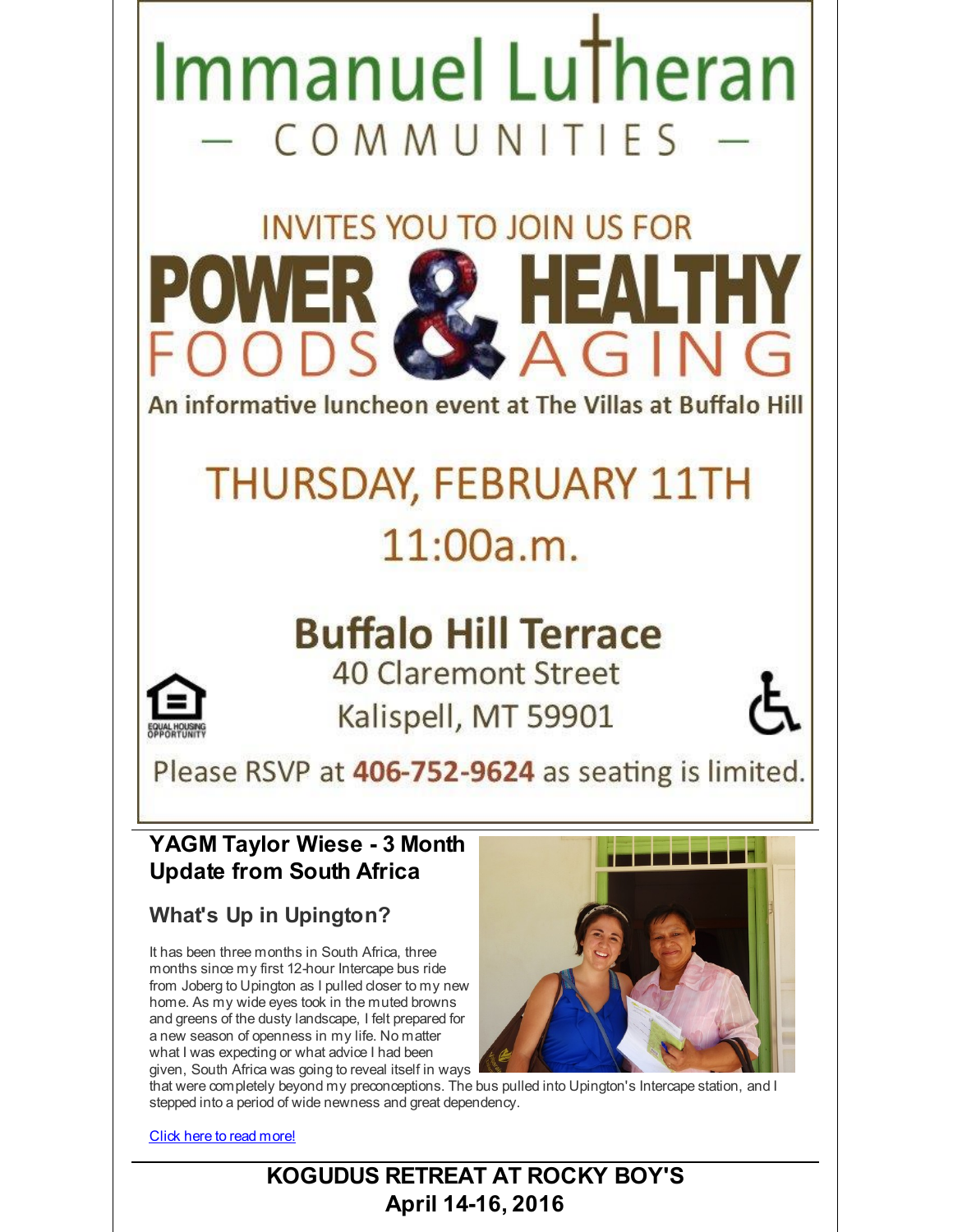

that were completely beyond my preconceptions. The bus pulled into Upington's Intercape station, and I stepped into a period of wide newness and great dependency.

Click here to read [more!](http://r20.rs6.net/tn.jsp?f=001rhCKCJW7OCpPP8e91C3o5tAL3-CaZOY0f8ElavlmkbVyKAhvcnE2V7t2N01NLwK8LE7b7z3YooEVcLhqK-GCfVP5qJA12vmL29_pkU1gh4Q9DNx1h7q-iw08aL98r-5osR7bFTI9cRJli618qEMDS2sYWDhh8mG_xy1pZpIZPD0CYRiu4WP9YTr8G_i_I-ewI4UvpI0vAFdhb_rFv67gkMw3_ObNsz_MHVO_yXZhZcEcGqG9Uv1RIu7_1sv1lcC2&c=&ch=)

# **KOGUDUS RETREAT AT ROCKY BOY'S April 14-16, 2016**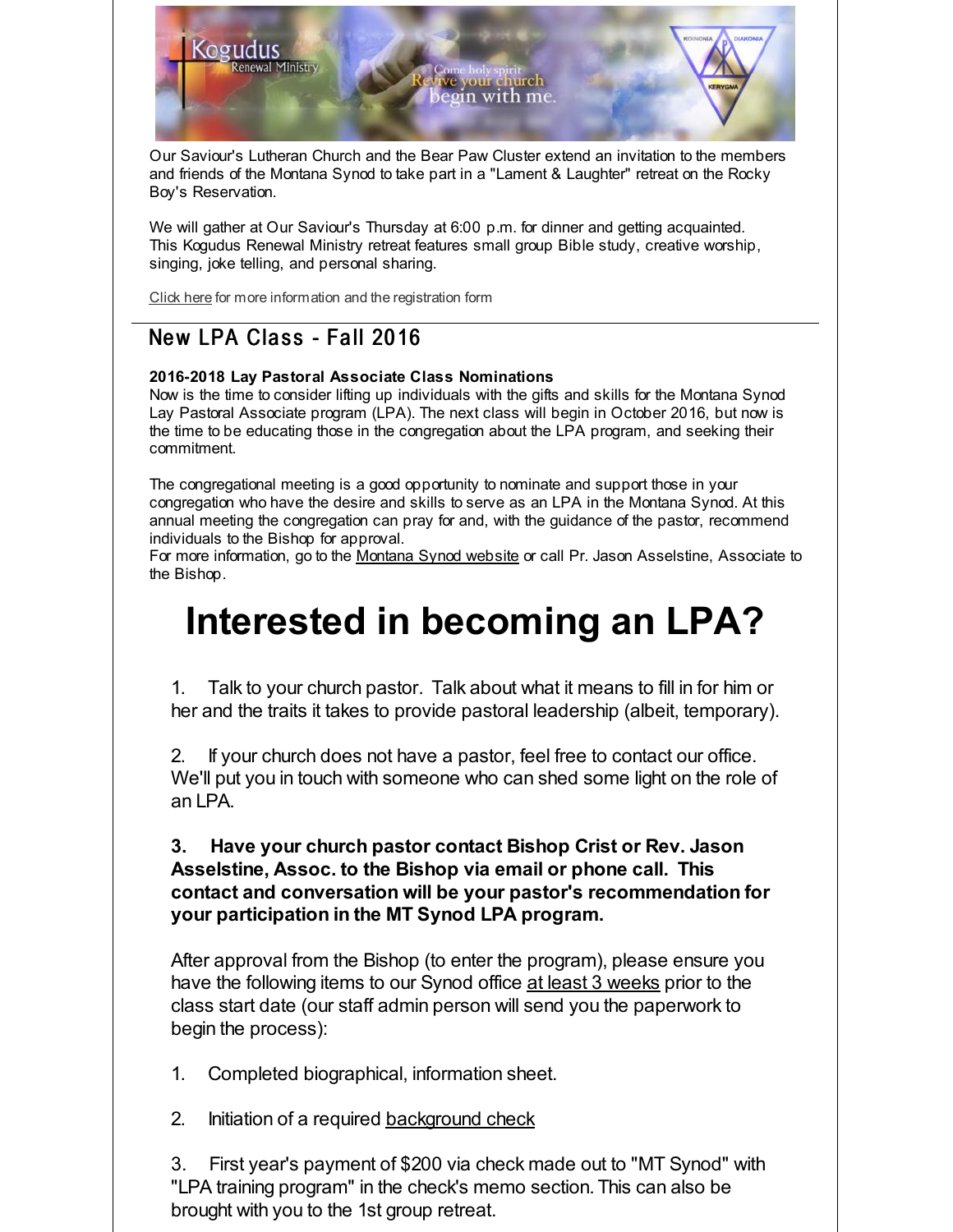Our Saviour's Lutheran Church and the Bear Paw Cluster extend an invitation to the members and friends of the Montana Synod to take part in a "Lament & Laughter" retreat on the Rocky Boy's Reservation.

n with me

We will gather at Our Saviour's Thursday at 6:00 p.m. for dinner and getting acquainted. This Kogudus Renewal Ministry retreat features small group Bible study, creative worship, singing, joke telling, and personal sharing.

[Click](http://r20.rs6.net/tn.jsp?f=001rhCKCJW7OCpPP8e91C3o5tAL3-CaZOY0f8ElavlmkbVyKAhvcnE2V2Qu90Jqvm-uN8MXiMdVA0uZYFCoEl2BFSJItmwQMLvyfPugj4wG3Ia1qCpXBsyX6seP9TCBSXHKl1Hk2wYSNGR5cuHR8cVc5LzUGZDkOFVSCdF19MOZSxucNj7bDPdraxdu9SlbYszDWAKv-2vOxcuC1AUJoaxzfUuEf5dE4OOz7uOXaJhdE_Q7EgK9OiIVLLjSrfFDTSwLTyvcgtExRWtqEOkRcC0EEoMSAXoS0mYW&c=&ch=) here for more information and the registration form

# New LPA Class - Fall 2016

Kogudus

Renewal Ministry

### **2016-2018 Lay Pastoral Associate Class Nominations**

Now is the time to consider lifting up individuals with the gifts and skills for the Montana Synod Lay Pastoral Associate program (LPA). The next class will begin in October 2016, but now is the time to be educating those in the congregation about the LPA program, and seeking their commitment.

The congregational meeting is a good opportunity to nominate and support those in your congregation who have the desire and skills to serve as an LPA in the Montana Synod. At this annual meeting the congregation can pray for and, with the guidance of the pastor, recommend individuals to the Bishop for approval.

For more information, go to the [Montana](http://r20.rs6.net/tn.jsp?f=001rhCKCJW7OCpPP8e91C3o5tAL3-CaZOY0f8ElavlmkbVyKAhvcnE2V9Y-R7LrVg2dCiZbLtaYOpKzgIGCPvI2NluzS3j-Pyp8JwcQlhA_vNR3r-SCBaLCvAoeq0nLUrmWqkQ4cXhBoQ0s0I7vPSYZZWvd1bYt5sv5ktPye8oDe7Ery7ppJYjhow==&c=&ch=) Synod website or call Pr. Jason Asselstine, Associate to the Bishop.

# **Interested in becoming an LPA?**

1. Talk to your church pastor. Talk about what it means to fill in for him or her and the traits it takes to provide pastoral leadership (albeit, temporary).

2. If your church does not have a pastor, feel free to contact our office. We'll put you in touch with someone who can shed some light on the role of an LPA.

### **3. Have your church pastor contact Bishop Crist or Rev. Jason Asselstine, Assoc. to the Bishop via email or phone call. This contact and conversation will be your pastor's recommendation for your participation in the MT Synod LPA program.**

After approval from the Bishop (to enter the program), please ensure you have the following items to our Synod office at least 3 weeks prior to the class start date (our staff admin person will send you the paperwork to begin the process):

1. Completed biographical, information sheet.

2. Initiation of a required [background](http://r20.rs6.net/tn.jsp?f=001rhCKCJW7OCpPP8e91C3o5tAL3-CaZOY0f8ElavlmkbVyKAhvcnE2V7t2N01NLwK8GB9H0LXEFKf1xZmzNqfyNkH8rI0wxwALAbGunZjQ8nUkN99RZt42pu2j6aUB1C0MYHmgHb9GIqYNZJST6mYS_uAXc-ht09DVkPm1fLRIiWUd7VBnCkelW6cqDQ67qXj7pXFWzXGlcm7Tvds-5LtQSQ==&c=&ch=) check

3. First year's payment of \$200 via check made out to "MT Synod" with "LPA training program" in the check's memo section. This can also be brought with you to the 1st group retreat.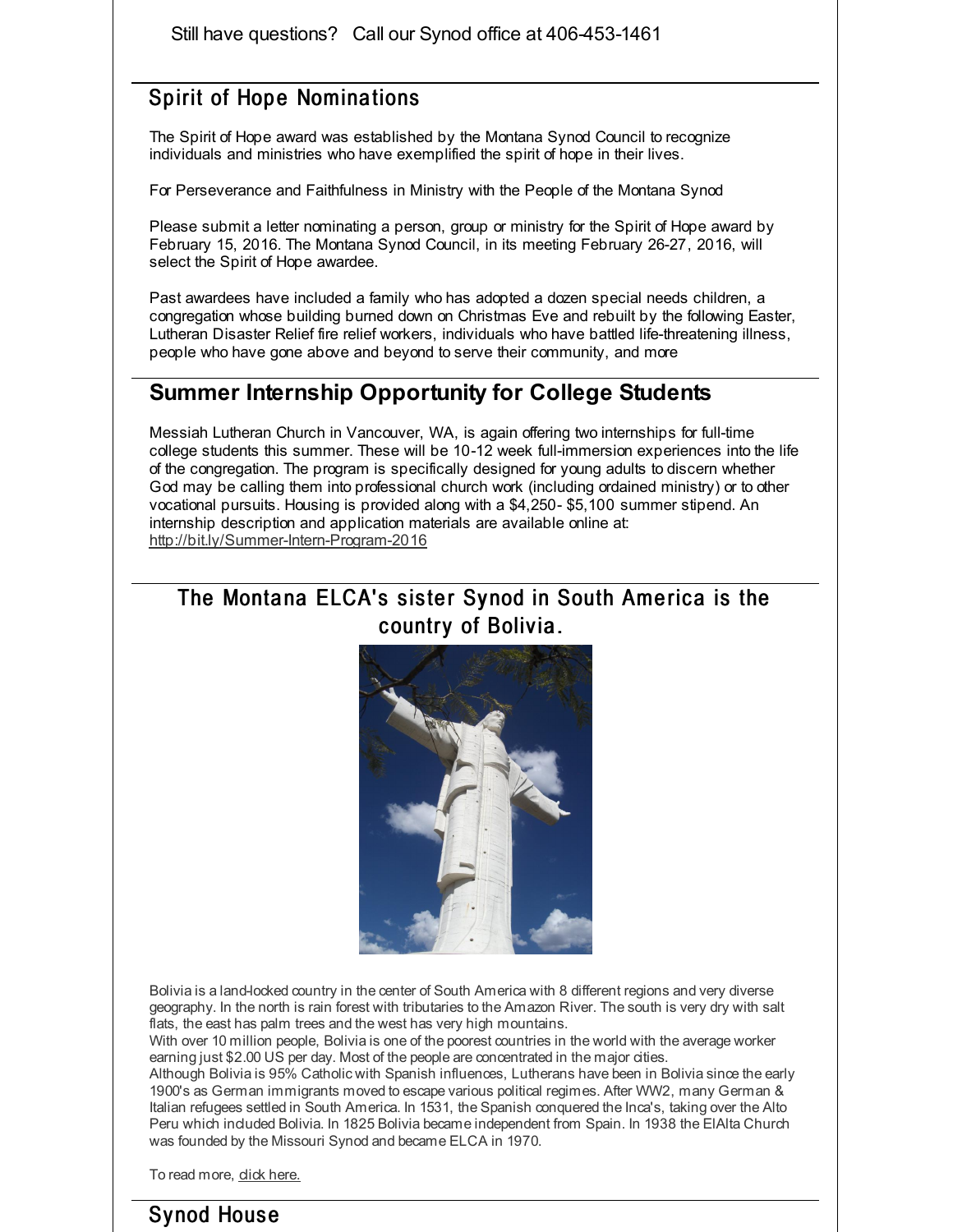Still have questions? Call our Synod office at 406-453-1461

### Spirit of Hope Nominations

The Spirit of Hope award was established by the Montana Synod Council to recognize individuals and ministries who have exemplified the spirit of hope in their lives.

For Perseverance and Faithfulness in Ministry with the People of the Montana Synod

Please submit a letter nominating a person, group or ministry for the Spirit of Hope award by February 15, 2016. The Montana Synod Council, in its meeting February 26-27, 2016, will select the Spirit of Hope awardee.

Past awardees have included a family who has adopted a dozen special needs children, a congregation whose building burned down on Christmas Eve and rebuilt by the following Easter, Lutheran Disaster Relief fire relief workers, individuals who have battled life-threatening illness, people who have gone above and beyond to serve their community, and more

### **Summer Internship Opportunity for College Students**

Messiah Lutheran Church in Vancouver, WA, is again offering two internships for full-time college students this summer. These will be 10-12 week full-immersion experiences into the life of the congregation. The program is specifically designed for young adults to discern whether God may be calling them into professional church work (including ordained ministry) or to other vocational pursuits. Housing is provided along with a \$4,250- \$5,100 summer stipend. An internship description and application materials are available online at: [http://bit.ly/Summer-Intern-Program-2016](http://r20.rs6.net/tn.jsp?f=001rhCKCJW7OCpPP8e91C3o5tAL3-CaZOY0f8ElavlmkbVyKAhvcnE2V7t2N01NLwK83cVpSc7OOi6Y_1TGsGMAETRmSonCcDdmRhh0cWiNeJ8N22kyVAIfpG2zlcSHqsc28KJkZmKpIYr_V_P58XkhyQn_hZfzRxcIT8vFrhI6vaJs4dJrj2RsNtRnqCZSyFsG&c=&ch=)

## The Montana ELCA's sister Synod in South America is the country of Bolivia.



Bolivia is a land-locked country in the center of South America with 8 different regions and very diverse geography. In the north is rain forest with tributaries to the Amazon River. The south is very dry with salt flats, the east has palm trees and the west has very high mountains.

With over 10 million people, Bolivia is one of the poorest countries in the world with the average worker earning just \$2.00 US per day. Most of the people are concentrated in the major cities.

Although Bolivia is 95% Catholic with Spanish influences, Lutherans have been in Bolivia since the early 1900's as German immigrants moved to escape various political regimes. After WW2, many German & Italian refugees settled in South America. In 1531, the Spanish conquered the Inca's, taking over the Alto Peru which included Bolivia. In 1825 Bolivia became independent from Spain. In 1938 the ElAlta Church was founded by the Missouri Synod and became ELCA in 1970.

To read more, dick [here.](http://r20.rs6.net/tn.jsp?f=001rhCKCJW7OCpPP8e91C3o5tAL3-CaZOY0f8ElavlmkbVyKAhvcnE2V0cuHfeX5jFuPtttPgdjvTG9Jry98hqFblcFhVXzBIpI0fclab0smGbiWeEkWFVKo_CQOxCSqolqT3n6B35An7anF-zpKMa1Gr3ECYSCgH_cPs1ZE8H7ijpU_yYyUh0ix4SS_9GKzkdCRPyKCx7jKyA=&c=&ch=)

# Sy nod Hous e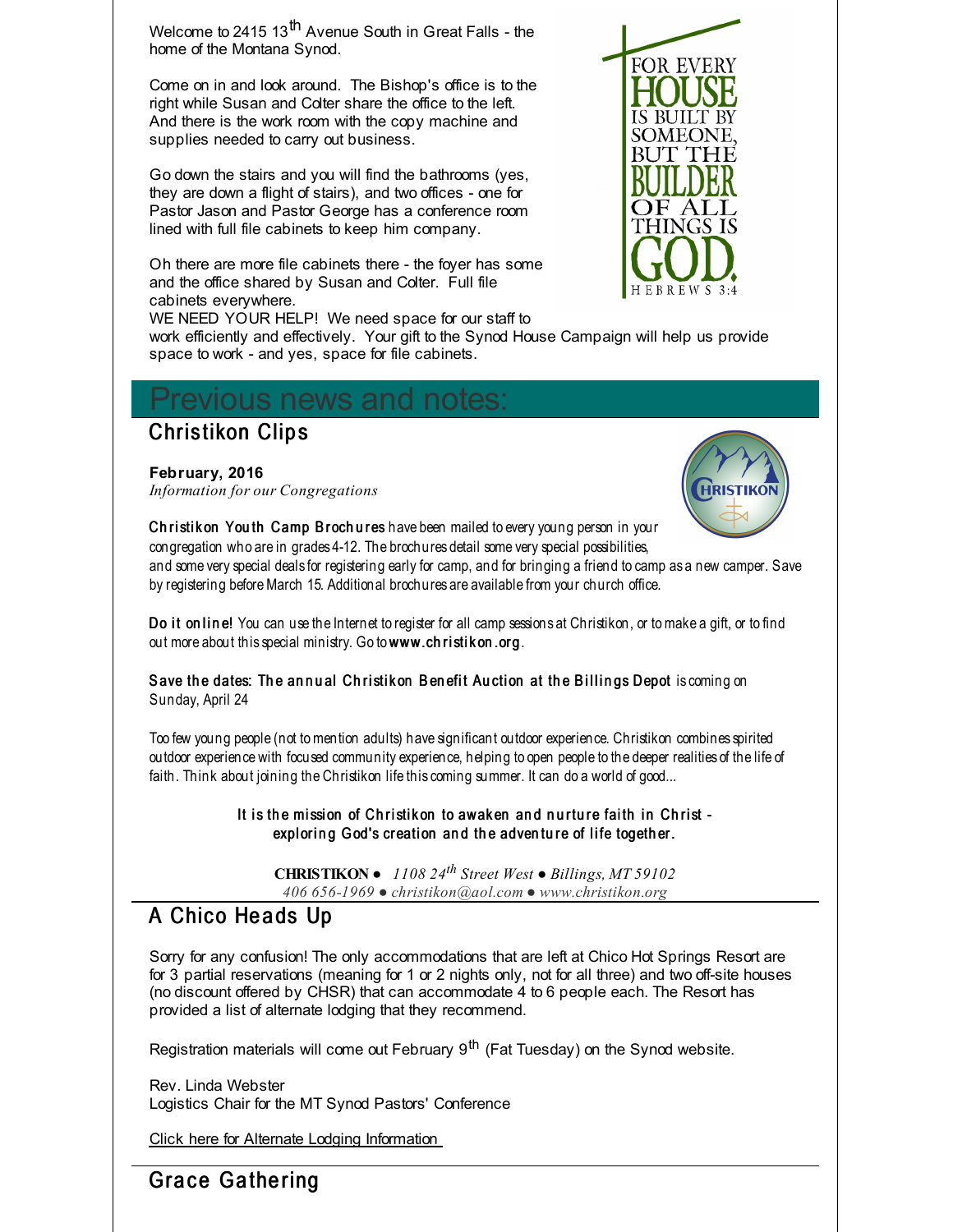Welcome to 2415 13<sup>th</sup> Avenue South in Great Falls - the home of the Montana Synod.

Come on in and look around. The Bishop's office is to the right while Susan and Colter share the office to the left. And there is the work room with the copy machine and supplies needed to carry out business.

Go down the stairs and you will find the bathrooms (yes, they are down a flight of stairs), and two offices - one for Pastor Jason and Pastor George has a conference room lined with full file cabinets to keep him company.

Oh there are more file cabinets there - the foyer has some and the office shared by Susan and Colter. Full file cabinets everywhere.

WE NEED YOUR HELP! We need space for our staff to work efficiently and effectively. Your gift to the Synod House Campaign will help us provide space to work - and yes, space for file cabinets.

# evious news and notes:

### **Christikon Clips**

### **February, 2016**

*Information for our Congregations*



**FOR EVERY** 

SOMEOI BUT THE

H E B R E W S

Christik on You th Camp Brochures have been mailed to every young person in your congregation who are in grades 4-12. The brochures detail some very special possibilities,

and some very special deals for registering early for camp, and for bringing a friend to camp as a new camper. Save by registering before March 15. Additional brochures are available from your church office.

Do it on line! You can use the Internet to register for all camp sessions at Christikon, or to make a gift, or to find out more about this special ministry. Go to www.ch ristik on.org.

Save the dates: The annual Christikon Benefit Auction at the Billings Depot is coming on Sunday, April 24

Too few young people (not tomention adults) have significant outdoor experience. Christikon combines spirited outdoor experience with focused community experience, helping to open people to the deeper realities of the life of faith. Think about joining the Christikon life this coming summer. It can do a world of good...

> It is the mission of Christikon to awaken and nurture faith in Christ exploring God's creation and the adventure of life together.

**CHRISTIKON** ● *1108 24 th Street West ● Billings, MT 59102 406 656-1969 ● christikon@aol.com ● www.christikon.org*

## A Chico Heads Up

Sorry for any confusion! The only accommodations that are left at Chico Hot Springs Resort are for 3 partial reservations (meaning for 1 or 2 nights only, not for all three) and two off-site houses (no discount offered by CHSR) that can accommodate 4 to 6 people each. The Resort has provided a list of alternate lodging that they recommend.

Registration materials will come out February 9<sup>th</sup> (Fat Tuesday) on the Synod website.

Rev. Linda Webster Logistics Chair for the MT Synod Pastors' Conference

Click here for Alternate Lodging [Information](http://r20.rs6.net/tn.jsp?f=001rhCKCJW7OCpPP8e91C3o5tAL3-CaZOY0f8ElavlmkbVyKAhvcnE2V2Qu90Jqvm-uh0UFpqv6tmLM1fi23ngGRS63ZLIhKqrkzSo5QcqErn6SvnHGPwdlUqSH0JKDfDFKyG7uiv3xW4H60dxv1DQmbJWty8k4mvO0E9oZnVBAyi3gaHzgApcxclVpSYu2W1k33MNk4LY60k_J5oRcNgFvzTlrf5ZJfOlL0AcjK1UMh1BLtmerVcrVHGzXla-n5LBz1XKamguQqVk=&c=&ch=)

# Grace Gathering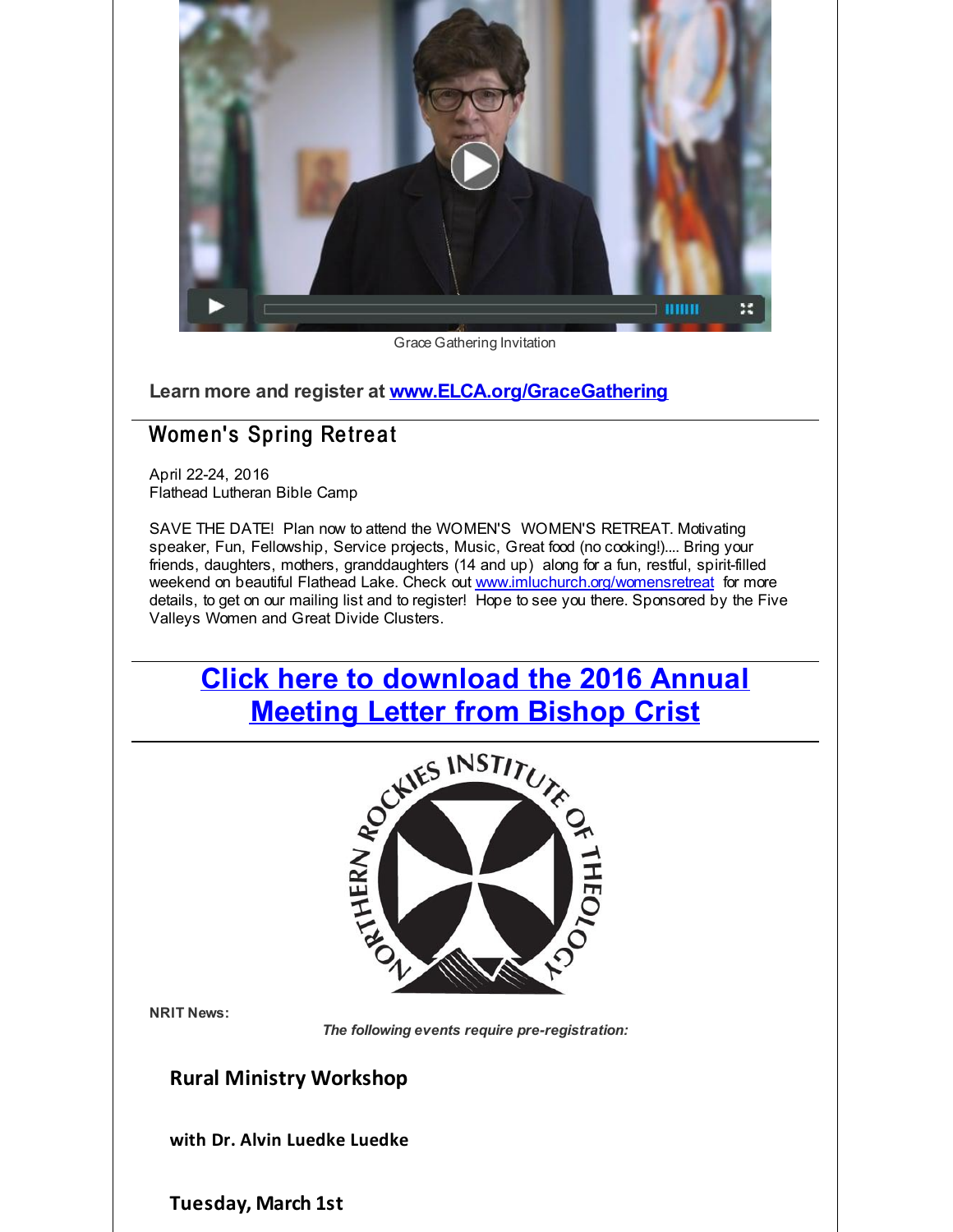

Grace Gathering Invitation

**Learn more and register at [www.ELCA.org/GraceGathering](http://r20.rs6.net/tn.jsp?f=001rhCKCJW7OCpPP8e91C3o5tAL3-CaZOY0f8ElavlmkbVyKAhvcnE2V7t2N01NLwK8Yf4nBZmcpmjwmO-vYZbZHsyW3jBSCKE4zp00LzV0CsQdWR4enh-CtobaxISK6sTDkU1gPHxcLM2ItgPwnInNbS1OO9IUQq7XEXlUbGnfKihR3nwHdamRweRKYoJIZlCa0YlBdRCvjo9UtLOzPE-uY_xVbhLrlKdHIhr_J-RlxzpbMIv5u6wKcD54WvOl0nd2yuXOaTIOsam0ifbiIdYSIbZCEWw0bgPiC4FNVMRKN0Au9sgi7VPqbgY1CDB2NaNmJ0KiiGfbjhKFuZuGWu0Paxk7G0cyqdiGvlTU6urJvKp-_kovq9lFwBT2WCr6MUn7Kb20dACCigA=&c=&ch=)**

# Women's Spring Retreat

April 22-24, 2016 Flathead Lutheran Bible Camp

SAVE THE DATE! Plan now to attend the WOMEN'S WOMEN'S RETREAT. Motivating speaker, Fun, Fellowship, Service projects, Music, Great food (no cooking!).... Bring your friends, daughters, mothers, granddaughters (14 and up) along for a fun, restful, spirit-filled weekend on beautiful Flathead Lake. Check out [www.imluchurch.org/womensretreat](http://r20.rs6.net/tn.jsp?f=001rhCKCJW7OCpPP8e91C3o5tAL3-CaZOY0f8ElavlmkbVyKAhvcnE2V_YaR7uEIIZDaWoZBF0VayqCTyUAw84GI4Xak-iYw0m4xoZm5qLJqYJGwyJegO7xsIVNQR5l-Guh6Ikh0UQA5BStrShWq_ReyAYCYcdO9DqBCTaHu5p1K5wCdrmCXCVsVrOaY-XdBIMA&c=&ch=) for more details, to get on our mailing list and to register! Hope to see you there. Sponsored by the Five Valleys Women and Great Divide Clusters.

# **Click here to [download](http://r20.rs6.net/tn.jsp?f=001rhCKCJW7OCpPP8e91C3o5tAL3-CaZOY0f8ElavlmkbVyKAhvcnE2V9syxtnIRVZWvCekYWtoS5FXOD8jL507iqLFX9LJMnPsfREWkBQhRn21KQ1BXCApdK2YD3DeMA-PajkFjkhKynmG-cgVjKUQNfoETMu89XVVs9ght2ChLIq6iabPm78lYv6qd5tP2q8JJ-MpdtiSHJiPGHPjWdF1fpOOuKYdgPSvd3X2vQHJsciX2utuB-cMa0oiLzAJVOvF8g3ENbMVUTg=&c=&ch=) the 2016 Annual**



**NRIT News:**

*The following events require pre-registration:*

### **Rural Ministry Workshop**

**with Dr. Alvin Luedke Luedke**

**Tuesday, March 1st**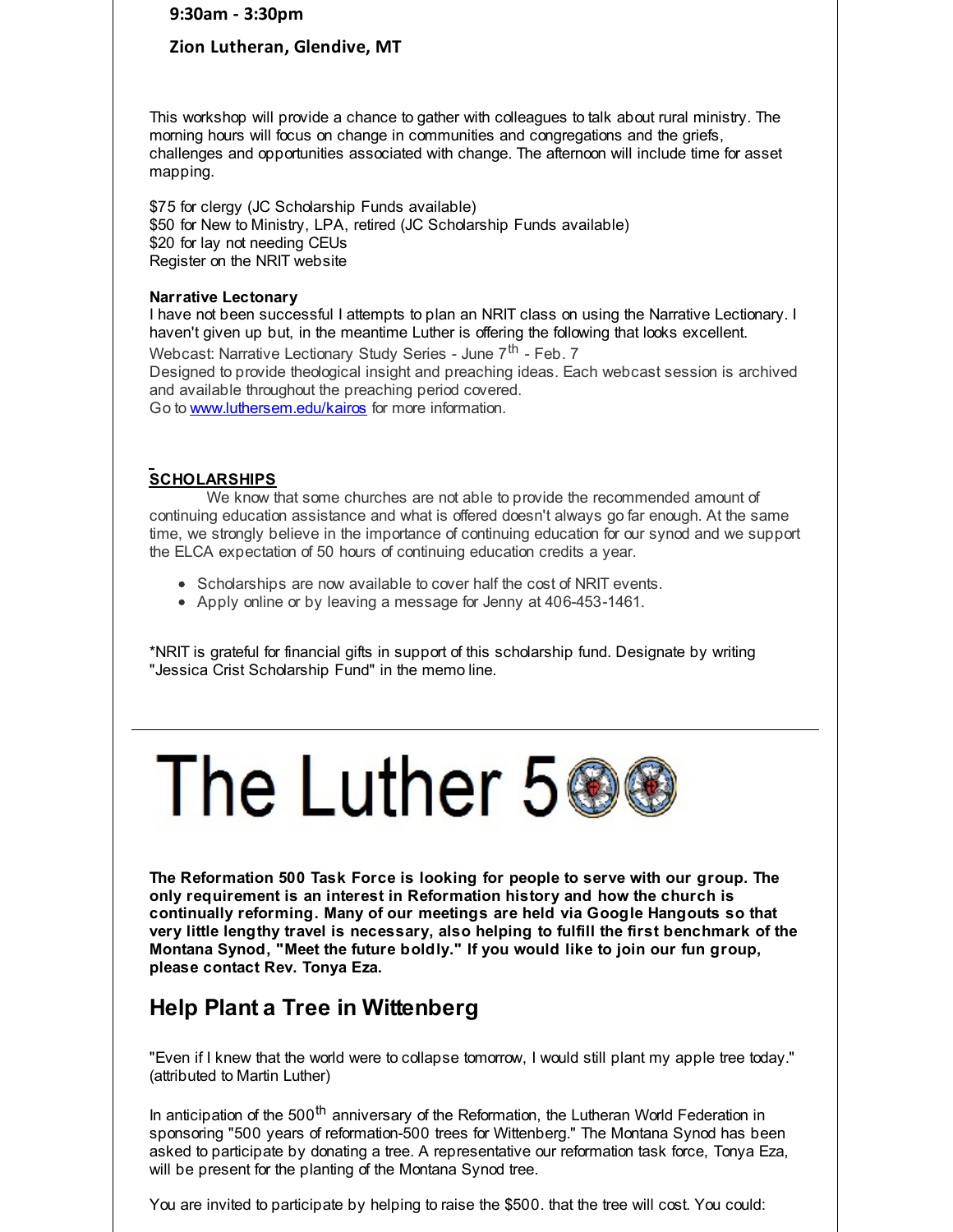**9:30am - 3:30pm**

### **Zion Lutheran, Glendive, MT**

This workshop will provide a chance to gather with colleagues to talk about rural ministry. The morning hours will focus on change in communities and congregations and the griefs, challenges and opportunities associated with change. The afternoon will include time for asset mapping.

\$75 for clergy (JC Scholarship Funds available) \$50 for New to Ministry, LPA, retired (JC Scholarship Funds available) \$20 for lay not needing CEUs Register on the NRIT website

#### **Narrative Lectonary**

I have not been successful I attempts to plan an NRIT class on using the Narrative Lectionary. I haven't given up but, in the meantime Luther is offering the following that looks excellent. Webcast: Narrative Lectionary Study Series - June 7<sup>th</sup> - Feb. 7 Designed to provide theological insight and preaching ideas. Each webcast session is archived and available throughout the preaching period covered. Go to [www.luthersem.edu/kairos](http://r20.rs6.net/tn.jsp?f=001rhCKCJW7OCpPP8e91C3o5tAL3-CaZOY0f8ElavlmkbVyKAhvcnE2V7t2N01NLwK8pwG8LjAPM5VbM2MWkUf4_dtUJNL8x6_Uj8Ph8_DPQMihFlF5-0GAqJ-zSbFAJjDSo20ByJWtaLH_mCJnkq7nFdNvdboFY2oHfUQQ_Jw_Vwzvxpn0venfAQ==&c=&ch=) for more information.

### **SCHOLARSHIPS**

We know that some churches are not able to provide the recommended amount of continuing education assistance and what is offered doesn't always go far enough. At the same time, we strongly believe in the importance of continuing education for our synod and we support the ELCA expectation of 50 hours of continuing education credits a year.

- Scholarships are now available to cover half the cost of NRIT events.
- Apply online or by leaving a message for Jenny at 406-453-1461.

\*NRIT is grateful for financial gifts in support of this scholarship fund. Designate by writing "Jessica Crist Scholarship Fund" in the memo line.

# The Luther 5

**The Reformation 500 Task Force is looking for people to serve with our group. The only requirement is an interest in Reformation history and how the church is continually reforming. Many of our meetings are held via Google Hangouts so that very little lengthy travel is necessary, also helping to fulfill the first benchmark of the Montana Synod, "Meet the future boldly." If you would like to join our fun group, please contact Rev. Tonya Eza.**

## **Help Plant a Tree in Wittenberg**

"Even if I knew that the world were to collapse tomorrow, I would still plant my apple tree today." (attributed to Martin Luther)

In anticipation of the 500<sup>th</sup> anniversary of the Reformation, the Lutheran World Federation in sponsoring "500 years of reformation-500 trees for Wittenberg." The Montana Synod has been asked to participate by donating a tree. A representative our reformation task force, Tonya Eza, will be present for the planting of the Montana Synod tree.

You are invited to participate by helping to raise the \$500. that the tree will cost. You could: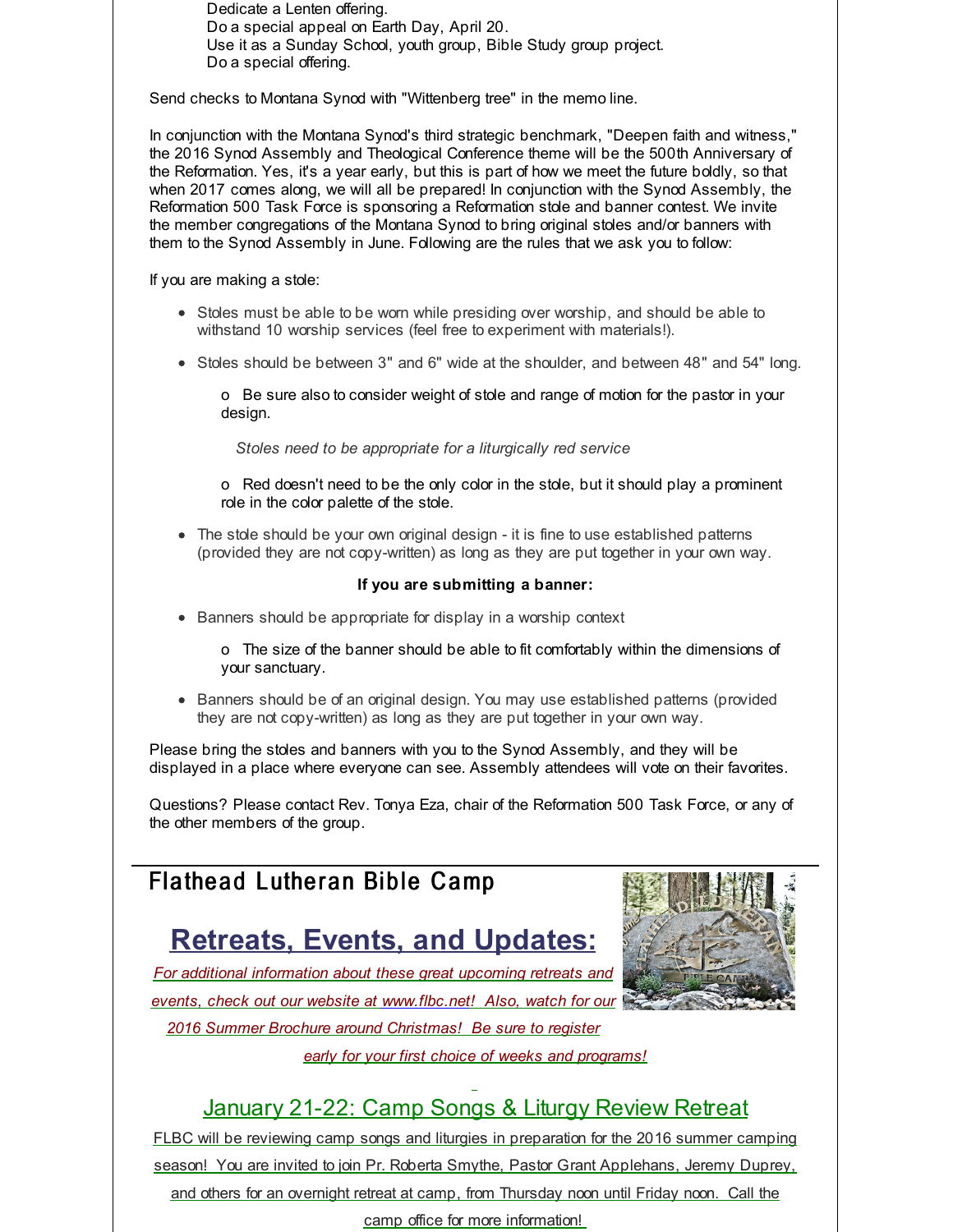Dedicate a Lenten offering. Do a special appeal on Earth Day, April 20. Use it as a Sunday School, youth group, Bible Study group project. Do a special offering.

Send checks to Montana Synod with "Wittenberg tree" in the memo line.

In conjunction with the Montana Synod's third strategic benchmark, "Deepen faith and witness," the 2016 Synod Assembly and Theological Conference theme will be the 500th Anniversary of the Reformation. Yes, it's a year early, but this is part of how we meet the future boldly, so that when 2017 comes along, we will all be prepared! In conjunction with the Synod Assembly, the Reformation 500 Task Force is sponsoring a Reformation stole and banner contest. We invite the member congregations of the Montana Synod to bring original stoles and/or banners with them to the Synod Assembly in June. Following are the rules that we ask you to follow:

If you are making a stole:

- Stoles must be able to be worn while presiding over worship, and should be able to withstand 10 worship services (feel free to experiment with materials!).
- Stoles should be between 3" and 6" wide at the shoulder, and between 48" and 54" long.

o Be sure also to consider weight of stole and range of motion for the pastor in your design.

*Stoles need to be appropriate for a liturgically red service*

o Red doesn't need to be the only color in the stole, but it should play a prominent role in the color palette of the stole.

• The stole should be your own original design - it is fine to use established patterns (provided they are not copy-written) as long as they are put together in your own way.

### **If you are submitting a banner:**

• Banners should be appropriate for display in a worship context

o The size of the banner should be able to fit comfortably within the dimensions of your sanctuary.

• Banners should be of an original design. You may use established patterns (provided they are not copy-written) as long as they are put together in your own way.

Please bring the stoles and banners with you to the Synod Assembly, and they will be displayed in a place where everyone can see. Assembly attendees will vote on their favorites.

Questions? Please contact Rev. Tonya Eza, chair of the Reformation 500 Task Force, or any of the other members of the group.

# Flathead Lutheran Bible Camp

# **Retreats, Events, and Updates:**



*For additional information about these great upcoming retreats and events, check out our website at [www.flbc.net](http://r20.rs6.net/tn.jsp?f=001rhCKCJW7OCpPP8e91C3o5tAL3-CaZOY0f8ElavlmkbVyKAhvcnE2V7xjpARWAVvLHQVNKU97dUAA5CF4pZtgl6theczmQesqWBDKo-cE3Hqfxad4WarhPuQuUcQ5LgwYbAgQmVdIktSWhgciq39gEQDAIYbT6KtT0vqXL9VO_71BwAwaLg_DdPoqmHDL_jNHIeMKo22hfAi48D3vGTnI9MTPnTkfzn3vPdrecUGPYWmIzIoZAKE4Fo83cBnYYWZW&c=&ch=)! Also, watch for our*

*2016 Summer Brochure around Christmas! Be sure to register*

*early for your first choice of weeks and programs!*

# January 21-22: Camp Songs & Liturgy Review Retreat

FLBC will be reviewing camp songs and liturgies in preparation for the 2016 summer camping season! You are invited to join Pr. Roberta Smythe, Pastor Grant Applehans, Jeremy Duprey, and others for an overnight retreat at camp, from Thursday noon until Friday noon. Call the camp office for more information!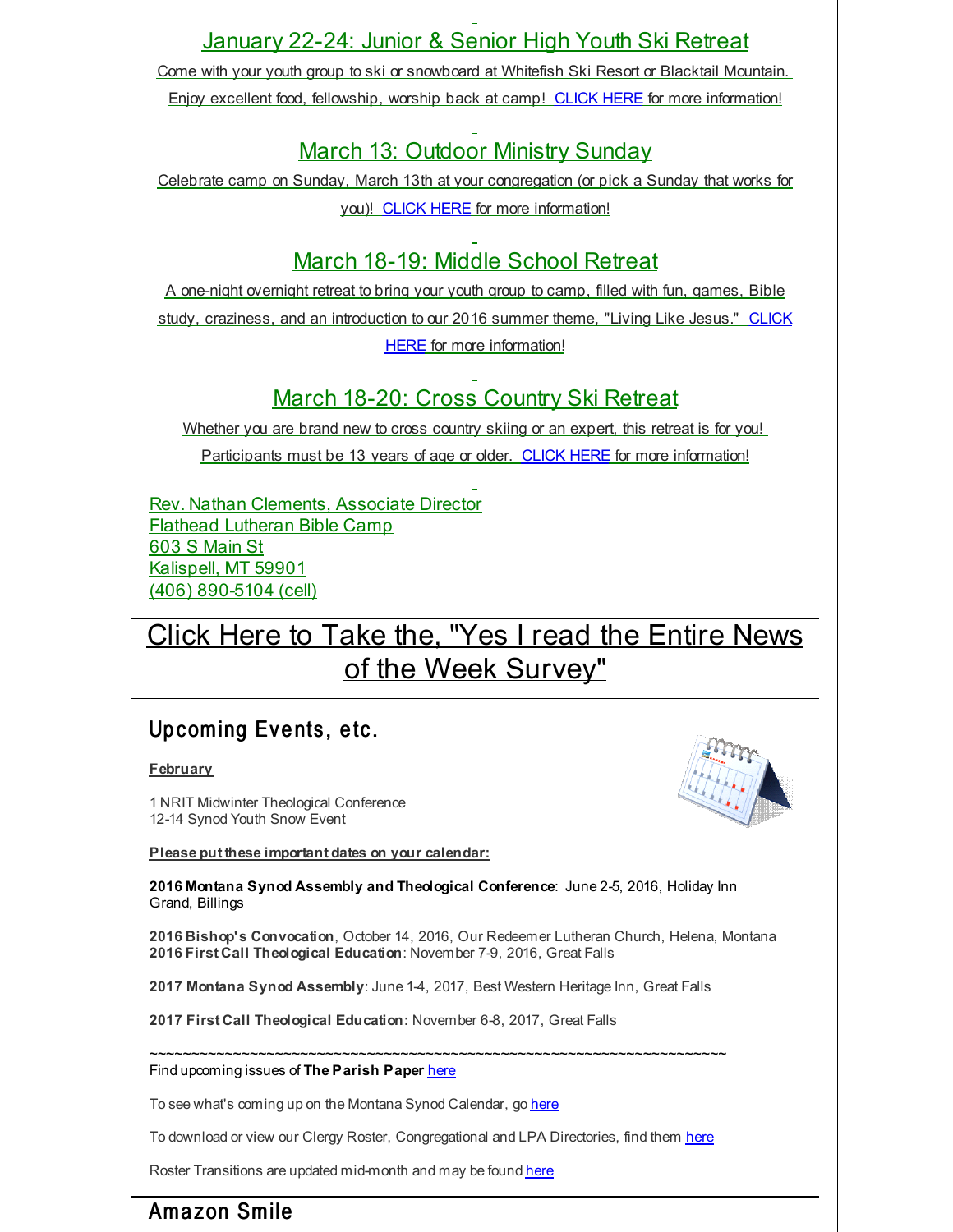# January 22-24: Junior & Senior High Youth Ski Retreat

Come with your youth group to ski or snowboard at Whitefish Ski Resort or Blacktail Mountain. Enjoy excellent food, fellowship, worship back at camp! [CLICK](http://r20.rs6.net/tn.jsp?f=001rhCKCJW7OCpPP8e91C3o5tAL3-CaZOY0f8ElavlmkbVyKAhvcnE2V7xjpARWAVvLLIBmCclrrM56JmU0V9rsZFo551xS0DIcVPjMA1424Z6mQ3oXMpq-sXPzBmp9RGv5A_wGYyMigUTLxpL9BXG_Fi8gQV7yztSR2yT1PCU27NDixyvRQzpif7nKy43ex_fngMIjeQC_N0RHeFPFT2Mqd2VBWpXhFUBq0fL-N3FQr4QhweoRupVRiGNh1eixdw-T&c=&ch=) HERE for more information!

# March 13: Outdoor Ministry Sunday

Celebrate camp on Sunday, March 13th at your congregation (or pick a Sunday that works for you)! [CLICK](http://r20.rs6.net/tn.jsp?f=001rhCKCJW7OCpPP8e91C3o5tAL3-CaZOY0f8ElavlmkbVyKAhvcnE2V7xjpARWAVvLYwaYvz4d7K5X8fAJ4K4h9GZk42tzW5W8XMTtl6WVgDWXVXht7zar-S9qBHHru0r18cpDRA6qxoXvuQNvwmjk81mvZUvdgZOQOnPPtauvulorJUcaMw9NUfBisS1EFTTlikJkH31ge4oNJP5aI7cJCJ4k0cOISFvnCkXfM0gAFhZZT2wqRLRCYgCih_s1QynB&c=&ch=) HERE for more information!

# March 18-19: Middle School Retreat

A one-night overnight retreat to bring your youth group to camp, filled with fun, games, Bible study, craziness, and an introduction to our 2016 summer theme, "Living Like Jesus." CLICK HERE for more [information!](http://r20.rs6.net/tn.jsp?f=001rhCKCJW7OCpPP8e91C3o5tAL3-CaZOY0f8ElavlmkbVyKAhvcnE2V7xjpARWAVvLlwJm1nLrxtTcyRfgg0zYUa-EOWXwh7I07ewYDPrVJLQCW_ZX_v9wVO9NFCTLujAsxXn-GCPraJnNGCR_YUfOxr8pbr5113xVztFn4bVHC3nNYD5YR0exe0pHjtHK6hQCBPis9AkvPWRHNsg9NelrtnIhE-Han5rSBbciqs3ov4RXKvj01UQxU5bvmyK6bslD&c=&ch=)

# March 18-20: Cross Country Ski Retreat

Whether you are brand new to cross country skiing or an expert, this retreat is for you! Participants must be 13 years of age or older. [CLICK](http://r20.rs6.net/tn.jsp?f=001rhCKCJW7OCpPP8e91C3o5tAL3-CaZOY0f8ElavlmkbVyKAhvcnE2V7xjpARWAVvLHmMSDDugU9oUU-GgVgI06gh5cokKDpInFHM1_OaBWI2vWucVCPuDZhgensehvJp2XMbpu4gha9HA52qwovV_B2gMJp4pBBY3Wa8FKCP8lZmSUe7S-DYW3CCkz7CFyPE9KH9hIWSn-GSPEGdBkmjhyfv-mzYBqPEkt2a4-Pc6X26hUQRTvwwxmK05s6uaqOHB&c=&ch=) HERE for more information!

Rev. Nathan Clements, Associate Director Flathead Lutheran Bible Camp 603 S Main St Kalispell, MT 59901 (406) 890-5104 (cell)

# Click Here to Take the, "Yes I read the Entire News of the Week [Survey"](http://r20.rs6.net/tn.jsp?f=001rhCKCJW7OCpPP8e91C3o5tAL3-CaZOY0f8ElavlmkbVyKAhvcnE2V2Qu90Jqvm-uEs49oxepCEGAVGROaX_xBMA7Q1KCHUsDJFOqzz_qsk2_Le5DwgXqYgz1f36Z6N1NxyqjPCnUO93As4SnZYXDp9qJcZN4PXPGg9xT60t1yazKaS_pDCRXT_4Q9nqn_ymPyoCTtxzNVG4=&c=&ch=)

# Up coming Events, etc.

**February**

1 NRIT Midwinter Theological Conference 12-14 Synod Youth Snow Event

**Please put these important dates on your calendar:**



**2016 Montana Synod Assembly and Theological Conference**: June 2-5, 2016, Holiday Inn Grand, Billings

**2016 Bishop's Convocation**, October 14, 2016, Our Redeemer Lutheran Church, Helena, Montana **2016 First Call Theological Education**: November 7-9, 2016, Great Falls

**2017 Montana Synod Assembly**: June 1-4, 2017, Best Western Heritage Inn, Great Falls

**2017 First Call Theological Education:** November 6-8, 2017, Great Falls

~~~~~~~~~~~~~~~~~~~~~~~~~~~~~~~~~~~~~~~~~~~~~~~~~~~~~~~~~~~~~~~~~~~~~ Find upcoming issues of **The Parish Paper** [here](http://r20.rs6.net/tn.jsp?f=001rhCKCJW7OCpPP8e91C3o5tAL3-CaZOY0f8ElavlmkbVyKAhvcnE2VwmOt1--sZwSWyAMBTrvPPA1JvnIPHne1kt1tJvUFdvCBsvAUcE0qxi3-lKjtalLw43KPLs5tIc74anAMPyjns3D79f7CTWye0tMdxxf2oL2QAF24Kel0ywARnHfgjYEgVH9ZYfD1vBHr526APnllFIlnTZN55AbCg==&c=&ch=)

To see what's coming up on the Montana Synod Calendar, go [here](http://r20.rs6.net/tn.jsp?f=001rhCKCJW7OCpPP8e91C3o5tAL3-CaZOY0f8ElavlmkbVyKAhvcnE2V6QYrfi5S8hO3D3Ay1X3D2CWWjQt0xy2qjSMR4uFRcdV9x2x4W9fXEIPB3AvXSjeANsQ2nmLUHioQPTy9ls6SsaGF9AoR1zrbNIGJI2HyDgIlubdOIp0-XwrXDB0DFpQ_gpMKxzJPz5AZT7TpZmGr4U=&c=&ch=)

To download or view our Clergy Roster, Congregational and LPA Directories, find them [here](http://r20.rs6.net/tn.jsp?f=001rhCKCJW7OCpPP8e91C3o5tAL3-CaZOY0f8ElavlmkbVyKAhvcnE2V_sq2_s7vJzajSYNR8pj4b_zNE7mZkIjRC0HKKvxvMnEb-ZcTvy86FqGGKrO52M8XyFIJbDKHlcdZx4ETHOlC3xmvAoH0QJdKcxwzR_aSZritTAnpFPxb9NR0hr1Tva7MQaPbMAwm4hUJTsLu4Rkp4Y=&c=&ch=)

Roster Transitions are updated mid-month and may be found [here](http://r20.rs6.net/tn.jsp?f=001rhCKCJW7OCpPP8e91C3o5tAL3-CaZOY0f8ElavlmkbVyKAhvcnE2V_sq2_s7vJzauCER2VT0xco9om3SlfwdJD8wVxZq27H-d0fYhnmLTNcRriiH7R96xBK5e4aZAG1NleTNNaLMiFWpHUuw5qHzpKzn0T6t130PkTj9JwyZV4PvzLcXnYDzghyZd5D58drBcva6mn-vO1w=&c=&ch=)

# Amazon Smile